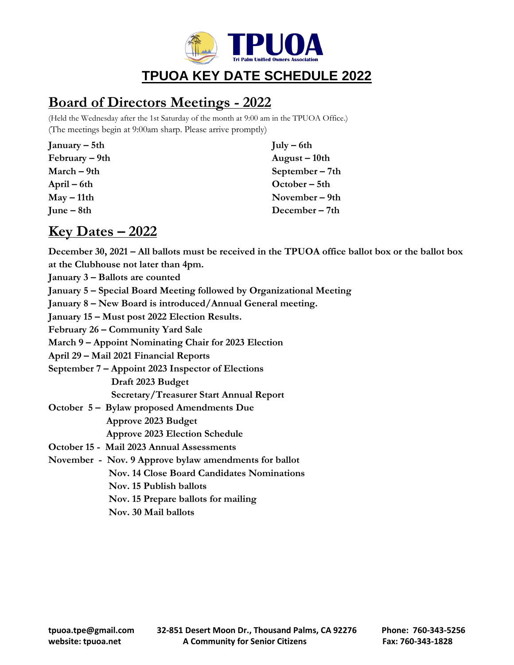

## **TPUOA KEY DATE SCHEDULE 2022**

## **Board of Directors Meetings - 2022**

(Held the Wednesday after the 1st Saturday of the month at 9:00 am in the TPUOA Office.) (The meetings begin at 9:00am sharp. Please arrive promptly)

| January – $5th$            | $\text{July} - 6\text{th}$ |
|----------------------------|----------------------------|
| February – 9th             | August – 10th              |
| $March - 9th$              | September $-7th$           |
| April – 6th                | October – 5th              |
| $\text{May} - 11\text{th}$ | November – 9th             |
| $June - 8th$               | December $-7th$            |
|                            |                            |

## **Key Dates – 2022**

**December 30, 2021 – All ballots must be received in the TPUOA office ballot box or the ballot box at the Clubhouse not later than 4pm.**

- **January 3 – Ballots are counted**
- **January 5 – Special Board Meeting followed by Organizational Meeting**
- **January 8 – New Board is introduced/Annual General meeting.**
- **January 15 – Must post 2022 Election Results.**

**February 26 – Community Yard Sale**

**March 9 – Appoint Nominating Chair for 2023 Election**

**April 29 – Mail 2021 Financial Reports**

**September 7 – Appoint 2023 Inspector of Elections**

 **Draft 2023 Budget**

 **Secretary/Treasurer Start Annual Report**

- **October 5 – Bylaw proposed Amendments Due Approve 2023 Budget Approve 2023 Election Schedule**
- **October 15 Mail 2023 Annual Assessments**
- **November Nov. 9 Approve bylaw amendments for ballot Nov. 14 Close Board Candidates Nominations Nov. 15 Publish ballots Nov. 15 Prepare ballots for mailing Nov. 30 Mail ballots**